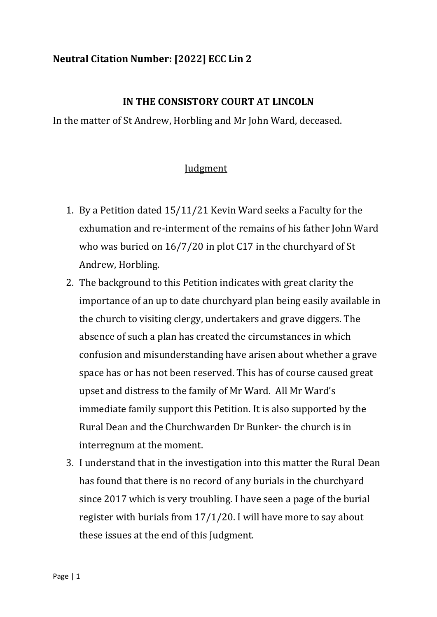## **Neutral Citation Number: [2022] ECC Lin 2**

## **IN THE CONSISTORY COURT AT LINCOLN**

In the matter of St Andrew, Horbling and Mr John Ward, deceased.

## **Judgment**

- 1. By a Petition dated 15/11/21 Kevin Ward seeks a Faculty for the exhumation and re-interment of the remains of his father John Ward who was buried on 16/7/20 in plot C17 in the churchyard of St Andrew, Horbling.
- 2. The background to this Petition indicates with great clarity the importance of an up to date churchyard plan being easily available in the church to visiting clergy, undertakers and grave diggers. The absence of such a plan has created the circumstances in which confusion and misunderstanding have arisen about whether a grave space has or has not been reserved. This has of course caused great upset and distress to the family of Mr Ward. All Mr Ward's immediate family support this Petition. It is also supported by the Rural Dean and the Churchwarden Dr Bunker- the church is in interregnum at the moment.
- 3. I understand that in the investigation into this matter the Rural Dean has found that there is no record of any burials in the churchyard since 2017 which is very troubling. I have seen a page of the burial register with burials from 17/1/20. I will have more to say about these issues at the end of this Judgment.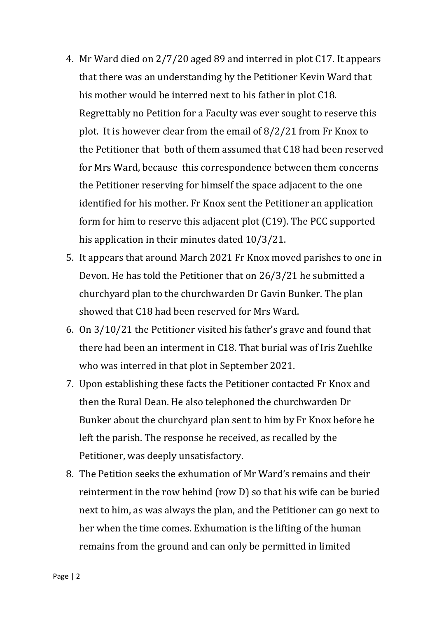- 4. Mr Ward died on 2/7/20 aged 89 and interred in plot C17. It appears that there was an understanding by the Petitioner Kevin Ward that his mother would be interred next to his father in plot C18. Regrettably no Petition for a Faculty was ever sought to reserve this plot. It is however clear from the email of 8/2/21 from Fr Knox to the Petitioner that both of them assumed that C18 had been reserved for Mrs Ward, because this correspondence between them concerns the Petitioner reserving for himself the space adjacent to the one identified for his mother. Fr Knox sent the Petitioner an application form for him to reserve this adjacent plot (C19). The PCC supported his application in their minutes dated 10/3/21.
- 5. It appears that around March 2021 Fr Knox moved parishes to one in Devon. He has told the Petitioner that on 26/3/21 he submitted a churchyard plan to the churchwarden Dr Gavin Bunker. The plan showed that C18 had been reserved for Mrs Ward.
- 6. On 3/10/21 the Petitioner visited his father's grave and found that there had been an interment in C18. That burial was of Iris Zuehlke who was interred in that plot in September 2021.
- 7. Upon establishing these facts the Petitioner contacted Fr Knox and then the Rural Dean. He also telephoned the churchwarden Dr Bunker about the churchyard plan sent to him by Fr Knox before he left the parish. The response he received, as recalled by the Petitioner, was deeply unsatisfactory.
- 8. The Petition seeks the exhumation of Mr Ward's remains and their reinterment in the row behind (row D) so that his wife can be buried next to him, as was always the plan, and the Petitioner can go next to her when the time comes. Exhumation is the lifting of the human remains from the ground and can only be permitted in limited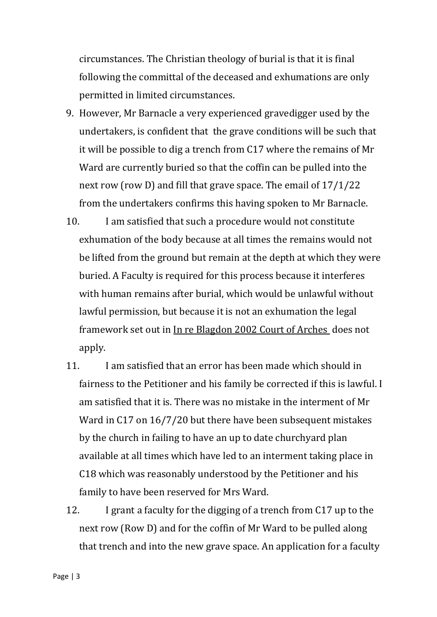circumstances. The Christian theology of burial is that it is final following the committal of the deceased and exhumations are only permitted in limited circumstances.

- 9. However, Mr Barnacle a very experienced gravedigger used by the undertakers, is confident that the grave conditions will be such that it will be possible to dig a trench from C17 where the remains of Mr Ward are currently buried so that the coffin can be pulled into the next row (row D) and fill that grave space. The email of 17/1/22 from the undertakers confirms this having spoken to Mr Barnacle.
- 10. I am satisfied that such a procedure would not constitute exhumation of the body because at all times the remains would not be lifted from the ground but remain at the depth at which they were buried. A Faculty is required for this process because it interferes with human remains after burial, which would be unlawful without lawful permission, but because it is not an exhumation the legal framework set out in In re Blagdon 2002 Court of Arches does not apply.
- 11. I am satisfied that an error has been made which should in fairness to the Petitioner and his family be corrected if this is lawful. I am satisfied that it is. There was no mistake in the interment of Mr Ward in C17 on 16/7/20 but there have been subsequent mistakes by the church in failing to have an up to date churchyard plan available at all times which have led to an interment taking place in C18 which was reasonably understood by the Petitioner and his family to have been reserved for Mrs Ward.
- 12. I grant a faculty for the digging of a trench from C17 up to the next row (Row D) and for the coffin of Mr Ward to be pulled along that trench and into the new grave space. An application for a faculty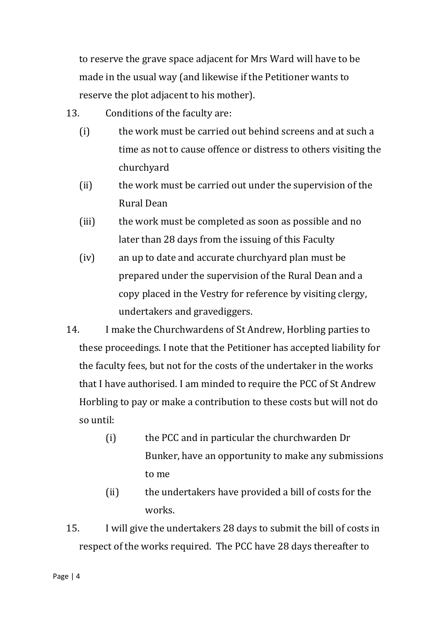to reserve the grave space adjacent for Mrs Ward will have to be made in the usual way (and likewise if the Petitioner wants to reserve the plot adjacent to his mother).

- 13. Conditions of the faculty are:
	- (i) the work must be carried out behind screens and at such a time as not to cause offence or distress to others visiting the churchyard
	- (ii) the work must be carried out under the supervision of the Rural Dean
	- (iii) the work must be completed as soon as possible and no later than 28 days from the issuing of this Faculty
	- (iv) an up to date and accurate churchyard plan must be prepared under the supervision of the Rural Dean and a copy placed in the Vestry for reference by visiting clergy, undertakers and gravediggers.
- 14. I make the Churchwardens of St Andrew, Horbling parties to these proceedings. I note that the Petitioner has accepted liability for the faculty fees, but not for the costs of the undertaker in the works that I have authorised. I am minded to require the PCC of St Andrew Horbling to pay or make a contribution to these costs but will not do so until:
	- (i) the PCC and in particular the churchwarden Dr Bunker, have an opportunity to make any submissions to me
	- (ii) the undertakers have provided a bill of costs for the works.
- 15. I will give the undertakers 28 days to submit the bill of costs in respect of the works required. The PCC have 28 days thereafter to